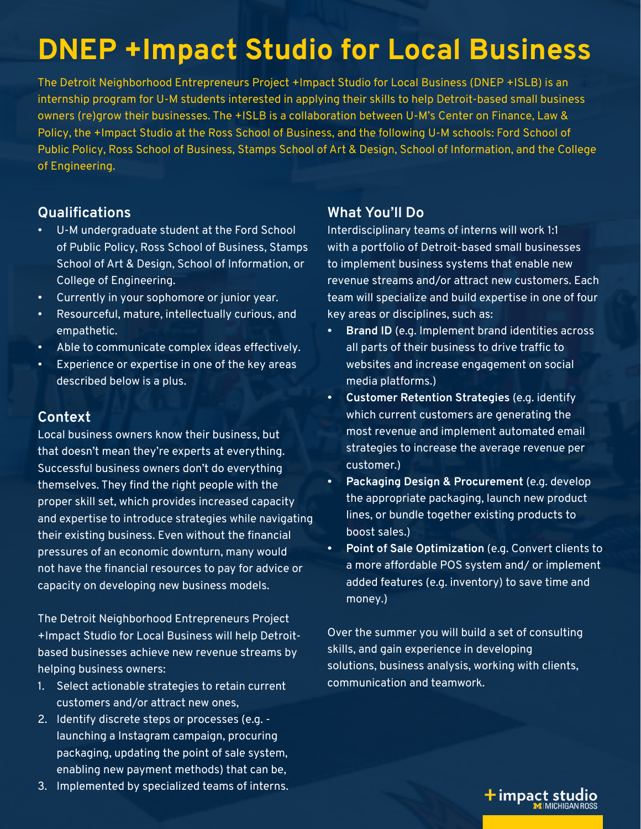# **DNEP +Impact Studio for Local Business**

The Detroit Neighborhood Entrepreneurs Project +Impact Studio for Local Business (DNEP +ISLB) is an internship program for U-M students interested in applying their skills to help Detroit-based small business owners (re)grow their businesses. The +ISLB is a collaboration between U-M's Center on Finance, Law & Policy, the +Impact Studio at the Ross School of Business, and the following U-M schools: Ford School of Public Policy, Ross School of Business, Stamps School of Art & Design, School of Information, and the College of Engineering.

#### **Qualifications**

- U-M undergraduate student at the Ford School of Public Policy, Ross School of Business, Stamps School of Art & Design, School of Information, or College of Engineering.
- Currently in your sophomore or junior year.
- Resourceful, mature, intellectually curious, and empathetic.
- Able to communicate complex ideas effectively.
- Experience or expertise in one of the key areas described below is a plus.

#### **Context**

Local business owners know their business, but that doesn't mean they're experts at everything. Successful business owners don't do everything themselves. They find the right people with the proper skill set, which provides increased capacity and expertise to introduce strategies while navigating their existing business. Even without the financial pressures of an economic downturn, many would not have the financial resources to pay for advice or capacity on developing new business models.

The Detroit Neighborhood Entrepreneurs Project +Impact Studio for Local Business will help Detroitbased businesses achieve new revenue streams by helping business owners:

- 1. Select actionable strategies to retain current customers and/or attract new ones,
- 2. Identify discrete steps or processes (e.g. launching a Instagram campaign, procuring packaging, updating the point of sale system, enabling new payment methods) that can be,
- 3. Implemented by specialized teams of interns.

## **What You'll Do**

Interdisciplinary teams of interns will work 1:1 with a portfolio of Detroit-based small businesses to implement business systems that enable new revenue streams and/or attract new customers. Each team will specialize and build expertise in one of four key areas or disciplines, such as:

- **• Brand ID** (e.g. Implement brand identities across all parts of their business to drive traffic to websites and increase engagement on social media platforms.)
- **• Customer Retention Strategies** (e.g. identify which current customers are generating the most revenue and implement automated email strategies to increase the average revenue per customer.)
- **• Packaging Design & Procurement** (e.g. develop the appropriate packaging, launch new product lines, or bundle together existing products to boost sales.)
- **• Point of Sale Optimization** (e.g. Convert clients to a more affordable POS system and/ or implement added features (e.g. inventory) to save time and money.)

Over the summer you will build a set of consulting skills, and gain experience in developing solutions, business analysis, working with clients, communication and teamwork.

+ impact studio